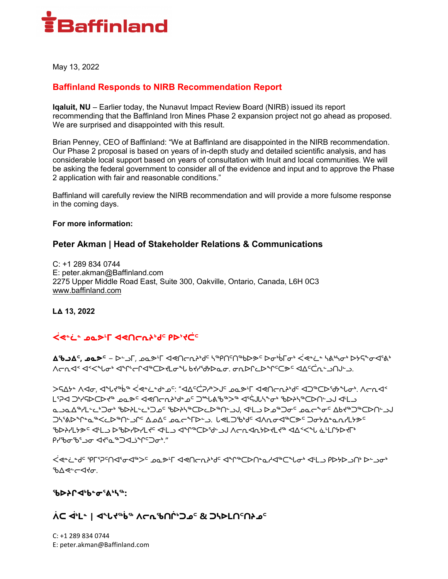

May 13, 2022

## **Baffinland Responds to NIRB Recommendation Report**

**Iqaluit, NU** – Earlier today, the Nunavut Impact Review Board (NIRB) issued its report recommending that the Baffinland Iron Mines Phase 2 expansion project not go ahead as proposed. We are surprised and disappointed with this result.

Brian Penney, CEO of Baffinland: "We at Baffinland are disappointed in the NIRB recommendation. Our Phase 2 proposal is based on years of in-depth study and detailed scientific analysis, and has considerable local support based on years of consultation with Inuit and local communities. We will be asking the federal government to consider all of the evidence and input and to approve the Phase 2 application with fair and reasonable conditions."

Baffinland will carefully review the NIRB recommendation and will provide a more fulsome response in the coming days.

#### **For more information:**

### **Peter Akman | Head of Stakeholder Relations & Communications**

C: +1 289 834 0744 E: peter.akman@Baffinland.com 2275 Upper Middle Road East, Suite 300, Oakville, Ontario, Canada, L6H 0C3 www.baffinland.com

**ᒪᐃ 13, 2022**

# **ᐹᕙᓐᓛᓐ ᓄᓇᕗᒻᒥ ᐊᕙᑎᓕᕆᔨᒃᑯᑦ ᑭᐅᔾᔪᑖᑦ**

**ᐃᖃᓗᐃᑦ, ᓄᓇᕗᑦ** − ᐅᓪᓗᒥ, ᓄᓇᕗᒻᒥ ᐊᕙᑎᓕᕆᔨᒃᑯᑦ ᓴᖅᑭᑎᑦᑎᖅᑲᐅᕗᑦ ᐅᓂᒃᑳᒥᓂᒃ ᐹᕙᓐᓛᓐ ᓴᕕᒃᓴᓂᒃ ᐅᔭᕋᖕᓂᐊᕐᕕᒃ ᐱᓕᕆᐊᑉ ᐊᑉᐸᖓᓂᒃ ᐊᖏᒡᓕᒋᐊᖅᑕᐅᔪᒪᓂᖓ ᑲᔪᓯᖁᔭᐅᓇᓂ. ᓂᕆᐅᒋᓚᐅᖏᑦᑕᕗᑦ ᐊᐃᑦᑖᕆᓪᓗᑎᒍᓪᓗ.

ᐳᕋᐃᔭᓐ ᐱᐊᓂ, ᐊᖓᔪᖅᑳᖅ ᐹᕙᓐᓛᓐᑯᓐᓄᑦ: "ᐊᐃᑦᑖᕈᓱᒃᐳᒍᑦ ᓄᓇᕗᒻᒥ ᐊᕙᑎᓕᕆᔨᒃᑯᑦ ᐊᑐᖅᑕᐅᖁᔭᖓᓂᒃ. ᐱᓕᕆᐊᑉ دم ان احدام الأصلي الأحداث الأحداث الأصلي الأصلي الأخرى الأصلي الأصلي الأصلي الأصلي الأصلي الأصلي الأصلي الأصل<br>الأحداث الأصلي الأصلي الأصلي الأصلي الأصلي الأصلي الأصلي الأصلي الأصلي الأصلي الأصلي الأصلي الأصلي الأصلي ال ᓇᓗᓇᐃᖅᓯᒪᓪᓚᒃᑐᓂᒃ ᖃᐅᔨᒪᓪᓚᒃᑐᓄᑦ ᖃᐅᔨᓴᖅᑕᐅᓚᐅᖅᑎᓪᓗᒍ, ᐊᒻᒪᓗ ᐅᓄᖅᑐᓂᑦ ᓄᓇᓕᖕᓂᑦ ᐃᑲᔪᖅᑐᖅᑕᐅᑎᓪᓗᒍ ჂႷჼႻჁჼႥ<del>Ⴍ</del>ჼჼႷჁჂႶჼ ឹႻႺჼႤჁჀ ႱჅႾჂჼႻჼჃႶႻႻჼႠ<del>Ⴥ</del>ჼჂჾႵႭႵႾჄჅ " GAY\LY& JULY& JPGAYAYLY GULA YA SUYAGUYA JU ACUYAYAYA YA ᑭᓯᖃᓂᖃᕐᓗᓂ ᐊᔪᕐᓇᖅᑐᐊᓘᖏᑦᑐᓂᒃ."

ᐹᕙᓐᓛᓐᑯᑦ ᕿᒥᕐᕈᑦᑎᐊᕐᓂᐊᖅᐳᑦ ᓄᓇᕗᒻᒥ ᐊᕙᑎᓕᕆᔨᒃᑯᑦ ᐊᖏᖅᑕᐅᑎᓐᓇᓱᐊᖅᑕᖓᓂᒃ ᐊᒻᒪᓗ ᑭᐅᔭᐅᓗᑎᒃ ᐅᓪᓗᓂᒃ ზ∆≪∽⊲⊀⊽.

### **ᖃᐅᔨᒋᐊᒃᑲᓐᓂᕐᕕᒃᓴᖅ:**

# **ᐲᑕ ᐋᒃᒪᓐ | ᐊᖓᔪᖅᑳᖅ ᐱᓕᕆᖃᑎᒌᒃᑐᓄᑦ & ᑐᓴᐅᒪᑎᑦᑎᔨᓄᑦ**

C: +1 289 834 0744 E: peter.akman@Baffinland.com